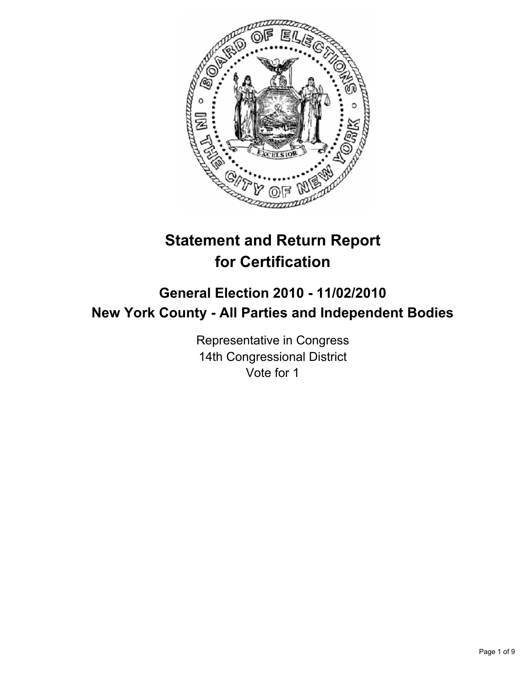

# **Statement and Return Report for Certification**

# **General Election 2010 - 11/02/2010 New York County - All Parties and Independent Bodies**

Representative in Congress 14th Congressional District Vote for 1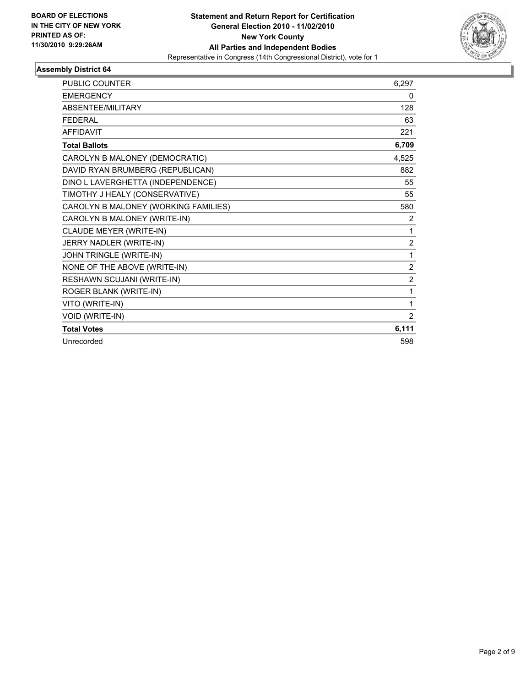

| <b>PUBLIC COUNTER</b>                | 6,297          |
|--------------------------------------|----------------|
| <b>EMERGENCY</b>                     | 0              |
| ABSENTEE/MILITARY                    | 128            |
| <b>FEDERAL</b>                       | 63             |
| <b>AFFIDAVIT</b>                     | 221            |
| <b>Total Ballots</b>                 | 6,709          |
| CAROLYN B MALONEY (DEMOCRATIC)       | 4,525          |
| DAVID RYAN BRUMBERG (REPUBLICAN)     | 882            |
| DINO L LAVERGHETTA (INDEPENDENCE)    | 55             |
| TIMOTHY J HEALY (CONSERVATIVE)       | 55             |
| CAROLYN B MALONEY (WORKING FAMILIES) | 580            |
| CAROLYN B MALONEY (WRITE-IN)         | 2              |
| CLAUDE MEYER (WRITE-IN)              | 1              |
| JERRY NADLER (WRITE-IN)              | $\overline{2}$ |
| <b>JOHN TRINGLE (WRITE-IN)</b>       | 1              |
| NONE OF THE ABOVE (WRITE-IN)         | $\overline{2}$ |
| RESHAWN SCUJANI (WRITE-IN)           | $\overline{2}$ |
| ROGER BLANK (WRITE-IN)               | 1              |
| VITO (WRITE-IN)                      | 1              |
| VOID (WRITE-IN)                      | 2              |
| <b>Total Votes</b>                   | 6,111          |
| Unrecorded                           | 598            |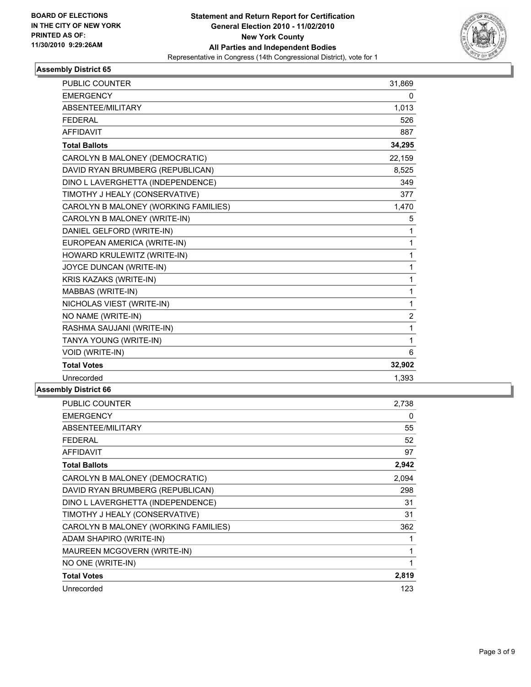

| <b>PUBLIC COUNTER</b>                | 31,869         |
|--------------------------------------|----------------|
| <b>EMERGENCY</b>                     | 0              |
| ABSENTEE/MILITARY                    | 1,013          |
| <b>FEDERAL</b>                       | 526            |
| <b>AFFIDAVIT</b>                     | 887            |
| <b>Total Ballots</b>                 | 34,295         |
| CAROLYN B MALONEY (DEMOCRATIC)       | 22,159         |
| DAVID RYAN BRUMBERG (REPUBLICAN)     | 8,525          |
| DINO L LAVERGHETTA (INDEPENDENCE)    | 349            |
| TIMOTHY J HEALY (CONSERVATIVE)       | 377            |
| CAROLYN B MALONEY (WORKING FAMILIES) | 1,470          |
| CAROLYN B MALONEY (WRITE-IN)         | 5              |
| DANIEL GELFORD (WRITE-IN)            | 1              |
| EUROPEAN AMERICA (WRITE-IN)          | 1              |
| HOWARD KRULEWITZ (WRITE-IN)          | 1              |
| JOYCE DUNCAN (WRITE-IN)              | 1              |
| KRIS KAZAKS (WRITE-IN)               | 1              |
| MABBAS (WRITE-IN)                    | 1              |
| NICHOLAS VIEST (WRITE-IN)            | 1              |
| NO NAME (WRITE-IN)                   | $\overline{c}$ |
| RASHMA SAUJANI (WRITE-IN)            | 1              |
| TANYA YOUNG (WRITE-IN)               | 1              |
| VOID (WRITE-IN)                      | 6              |
| <b>Total Votes</b>                   | 32,902         |
| Unrecorded                           | 1,393          |
|                                      |                |

| <b>PUBLIC COUNTER</b>                | 2,738 |
|--------------------------------------|-------|
| <b>EMERGENCY</b>                     | 0     |
| ABSENTEE/MILITARY                    | 55    |
| FEDERAL                              | 52    |
| <b>AFFIDAVIT</b>                     | 97    |
| <b>Total Ballots</b>                 | 2,942 |
| CAROLYN B MALONEY (DEMOCRATIC)       | 2,094 |
| DAVID RYAN BRUMBERG (REPUBLICAN)     | 298   |
| DINO L LAVERGHETTA (INDEPENDENCE)    | 31    |
| TIMOTHY J HEALY (CONSERVATIVE)       | 31    |
| CAROLYN B MALONEY (WORKING FAMILIES) | 362   |
| ADAM SHAPIRO (WRITE-IN)              | 1     |
| MAUREEN MCGOVERN (WRITE-IN)          | 1     |
| NO ONE (WRITE-IN)                    | 1     |
| <b>Total Votes</b>                   | 2,819 |
| Unrecorded                           | 123   |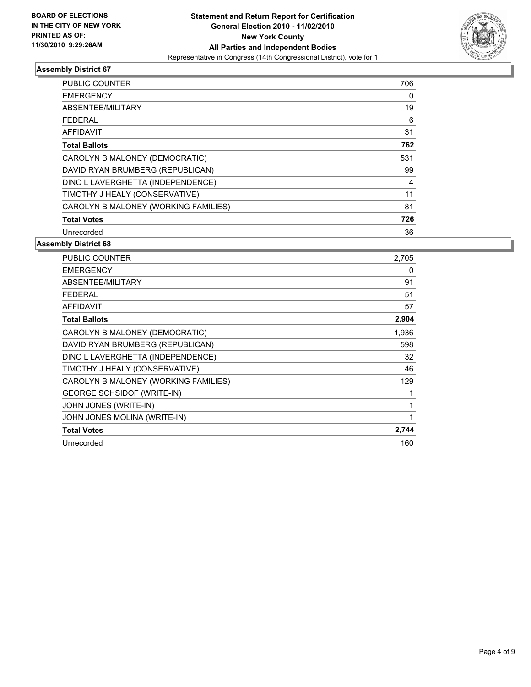

| <b>PUBLIC COUNTER</b>                | 706 |
|--------------------------------------|-----|
| <b>EMERGENCY</b>                     | 0   |
| ABSENTEE/MILITARY                    | 19  |
| <b>FEDERAL</b>                       | 6   |
| AFFIDAVIT                            | 31  |
| <b>Total Ballots</b>                 | 762 |
| CAROLYN B MALONEY (DEMOCRATIC)       | 531 |
| DAVID RYAN BRUMBERG (REPUBLICAN)     | 99  |
| DINO L LAVERGHETTA (INDEPENDENCE)    | 4   |
| TIMOTHY J HEALY (CONSERVATIVE)       | 11  |
| CAROLYN B MALONEY (WORKING FAMILIES) | 81  |
| <b>Total Votes</b>                   | 726 |
| Unrecorded                           | 36  |

| <b>PUBLIC COUNTER</b>                | 2.705 |
|--------------------------------------|-------|
| <b>EMERGENCY</b>                     | 0     |
| ABSENTEE/MILITARY                    | 91    |
| <b>FEDERAL</b>                       | 51    |
| <b>AFFIDAVIT</b>                     | 57    |
| <b>Total Ballots</b>                 | 2,904 |
| CAROLYN B MALONEY (DEMOCRATIC)       | 1,936 |
| DAVID RYAN BRUMBERG (REPUBLICAN)     | 598   |
| DINO L LAVERGHETTA (INDEPENDENCE)    | 32    |
| TIMOTHY J HEALY (CONSERVATIVE)       | 46    |
| CAROLYN B MALONEY (WORKING FAMILIES) | 129   |
| <b>GEORGE SCHSIDOF (WRITE-IN)</b>    | 1     |
| JOHN JONES (WRITE-IN)                | 1     |
| JOHN JONES MOLINA (WRITE-IN)         | 1     |
| <b>Total Votes</b>                   | 2,744 |
| Unrecorded                           | 160   |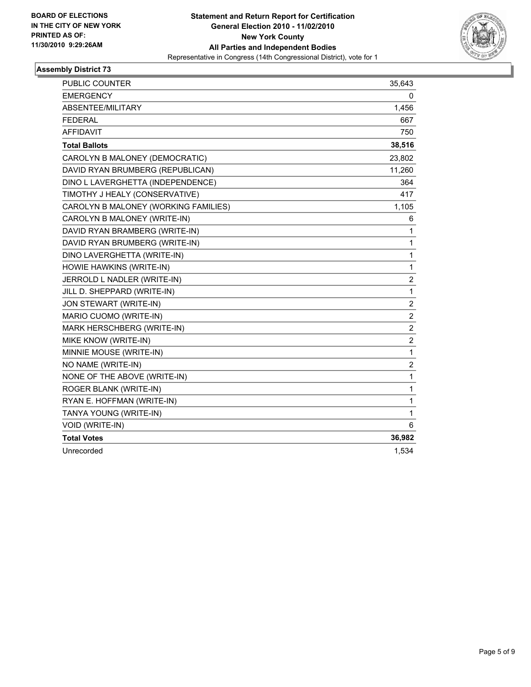

| PUBLIC COUNTER                       | 35,643         |
|--------------------------------------|----------------|
| <b>EMERGENCY</b>                     | 0              |
| ABSENTEE/MILITARY                    | 1,456          |
| <b>FEDERAL</b>                       | 667            |
| <b>AFFIDAVIT</b>                     | 750            |
| <b>Total Ballots</b>                 | 38,516         |
| CAROLYN B MALONEY (DEMOCRATIC)       | 23,802         |
| DAVID RYAN BRUMBERG (REPUBLICAN)     | 11,260         |
| DINO L LAVERGHETTA (INDEPENDENCE)    | 364            |
| TIMOTHY J HEALY (CONSERVATIVE)       | 417            |
| CAROLYN B MALONEY (WORKING FAMILIES) | 1,105          |
| CAROLYN B MALONEY (WRITE-IN)         | 6              |
| DAVID RYAN BRAMBERG (WRITE-IN)       | 1              |
| DAVID RYAN BRUMBERG (WRITE-IN)       | 1              |
| DINO LAVERGHETTA (WRITE-IN)          | 1              |
| HOWIE HAWKINS (WRITE-IN)             | 1              |
| JERROLD L NADLER (WRITE-IN)          | 2              |
| JILL D. SHEPPARD (WRITE-IN)          | $\mathbf{1}$   |
| JON STEWART (WRITE-IN)               | $\overline{2}$ |
| MARIO CUOMO (WRITE-IN)               | 2              |
| MARK HERSCHBERG (WRITE-IN)           | $\overline{c}$ |
| MIKE KNOW (WRITE-IN)                 | $\overline{2}$ |
| MINNIE MOUSE (WRITE-IN)              | 1              |
| NO NAME (WRITE-IN)                   | $\overline{c}$ |
| NONE OF THE ABOVE (WRITE-IN)         | 1              |
| ROGER BLANK (WRITE-IN)               | 1              |
| RYAN E. HOFFMAN (WRITE-IN)           | 1              |
| TANYA YOUNG (WRITE-IN)               | 1              |
| VOID (WRITE-IN)                      | 6              |
| <b>Total Votes</b>                   | 36,982         |
| Unrecorded                           | 1,534          |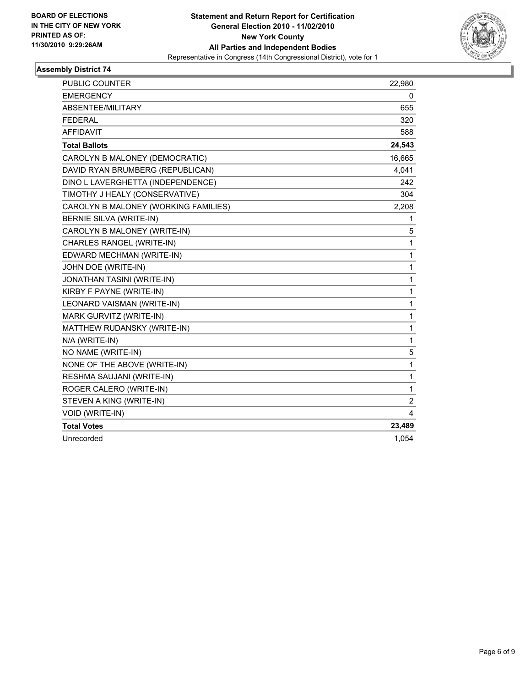

| PUBLIC COUNTER                       | 22,980         |
|--------------------------------------|----------------|
| <b>EMERGENCY</b>                     | 0              |
| ABSENTEE/MILITARY                    | 655            |
| <b>FEDERAL</b>                       | 320            |
| <b>AFFIDAVIT</b>                     | 588            |
| <b>Total Ballots</b>                 | 24,543         |
| CAROLYN B MALONEY (DEMOCRATIC)       | 16,665         |
| DAVID RYAN BRUMBERG (REPUBLICAN)     | 4,041          |
| DINO L LAVERGHETTA (INDEPENDENCE)    | 242            |
| TIMOTHY J HEALY (CONSERVATIVE)       | 304            |
| CAROLYN B MALONEY (WORKING FAMILIES) | 2,208          |
| BERNIE SILVA (WRITE-IN)              | 1              |
| CAROLYN B MALONEY (WRITE-IN)         | 5              |
| CHARLES RANGEL (WRITE-IN)            | 1              |
| EDWARD MECHMAN (WRITE-IN)            | 1              |
| JOHN DOE (WRITE-IN)                  | 1              |
| <b>JONATHAN TASINI (WRITE-IN)</b>    | 1              |
| KIRBY F PAYNE (WRITE-IN)             | 1              |
| LEONARD VAISMAN (WRITE-IN)           | 1              |
| MARK GURVITZ (WRITE-IN)              | 1              |
| MATTHEW RUDANSKY (WRITE-IN)          | 1              |
| N/A (WRITE-IN)                       | 1              |
| NO NAME (WRITE-IN)                   | 5              |
| NONE OF THE ABOVE (WRITE-IN)         | 1              |
| RESHMA SAUJANI (WRITE-IN)            | 1              |
| ROGER CALERO (WRITE-IN)              | 1              |
| STEVEN A KING (WRITE-IN)             | $\overline{2}$ |
| VOID (WRITE-IN)                      | 4              |
| <b>Total Votes</b>                   | 23,489         |
| Unrecorded                           | 1,054          |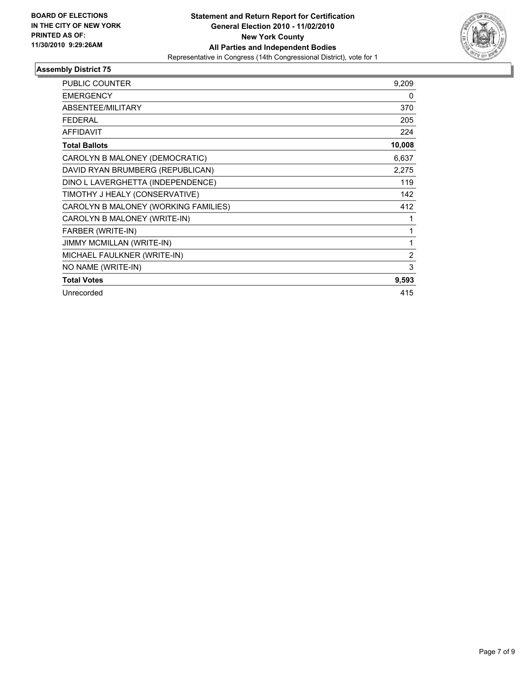

| <b>PUBLIC COUNTER</b>                | 9,209          |
|--------------------------------------|----------------|
| <b>EMERGENCY</b>                     | 0              |
| ABSENTEE/MILITARY                    | 370            |
| <b>FEDERAL</b>                       | 205            |
| <b>AFFIDAVIT</b>                     | 224            |
| <b>Total Ballots</b>                 | 10,008         |
| CAROLYN B MALONEY (DEMOCRATIC)       | 6,637          |
| DAVID RYAN BRUMBERG (REPUBLICAN)     | 2,275          |
| DINO L LAVERGHETTA (INDEPENDENCE)    | 119            |
| TIMOTHY J HEALY (CONSERVATIVE)       | 142            |
| CAROLYN B MALONEY (WORKING FAMILIES) | 412            |
| CAROLYN B MALONEY (WRITE-IN)         | 1              |
| FARBER (WRITE-IN)                    | 1              |
| <b>JIMMY MCMILLAN (WRITE-IN)</b>     | 1              |
| MICHAEL FAULKNER (WRITE-IN)          | $\overline{2}$ |
| NO NAME (WRITE-IN)                   | 3              |
| <b>Total Votes</b>                   | 9,593          |
| Unrecorded                           | 415            |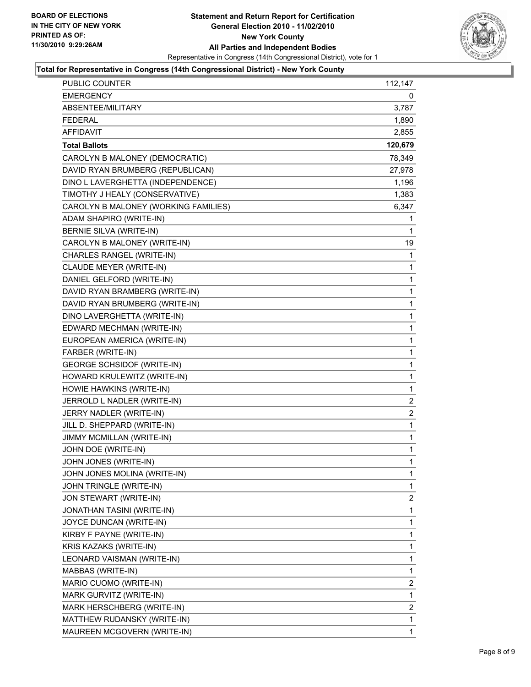

### **Total for Representative in Congress (14th Congressional District) - New York County**

| PUBLIC COUNTER                       | 112,147 |
|--------------------------------------|---------|
| <b>EMERGENCY</b>                     | 0       |
| ABSENTEE/MILITARY                    | 3,787   |
| <b>FEDERAL</b>                       | 1,890   |
| <b>AFFIDAVIT</b>                     | 2,855   |
| <b>Total Ballots</b>                 | 120,679 |
| CAROLYN B MALONEY (DEMOCRATIC)       | 78,349  |
| DAVID RYAN BRUMBERG (REPUBLICAN)     | 27,978  |
| DINO L LAVERGHETTA (INDEPENDENCE)    | 1,196   |
| TIMOTHY J HEALY (CONSERVATIVE)       | 1,383   |
| CAROLYN B MALONEY (WORKING FAMILIES) | 6,347   |
| ADAM SHAPIRO (WRITE-IN)              | 1       |
| BERNIE SILVA (WRITE-IN)              | 1       |
| CAROLYN B MALONEY (WRITE-IN)         | 19      |
| CHARLES RANGEL (WRITE-IN)            | 1       |
| CLAUDE MEYER (WRITE-IN)              | 1       |
| DANIEL GELFORD (WRITE-IN)            | 1       |
| DAVID RYAN BRAMBERG (WRITE-IN)       | 1       |
| DAVID RYAN BRUMBERG (WRITE-IN)       | 1       |
| DINO LAVERGHETTA (WRITE-IN)          | 1       |
| EDWARD MECHMAN (WRITE-IN)            | 1       |
| EUROPEAN AMERICA (WRITE-IN)          | 1       |
| FARBER (WRITE-IN)                    | 1       |
| <b>GEORGE SCHSIDOF (WRITE-IN)</b>    | 1       |
| HOWARD KRULEWITZ (WRITE-IN)          | 1       |
| HOWIE HAWKINS (WRITE-IN)             | 1       |
| JERROLD L NADLER (WRITE-IN)          | 2       |
| JERRY NADLER (WRITE-IN)              | 2       |
| JILL D. SHEPPARD (WRITE-IN)          | 1       |
| JIMMY MCMILLAN (WRITE-IN)            | 1       |
| JOHN DOE (WRITE-IN)                  | 1       |
| JOHN JONES (WRITE-IN)                | 1       |
| JOHN JONES MOLINA (WRITE-IN)         | 1       |
| JOHN TRINGLE (WRITE-IN)              | 1       |
| JON STEWART (WRITE-IN)               | 2       |
| JONATHAN TASINI (WRITE-IN)           | 1       |
| JOYCE DUNCAN (WRITE-IN)              | 1       |
| KIRBY F PAYNE (WRITE-IN)             | 1       |
| KRIS KAZAKS (WRITE-IN)               | 1       |
| LEONARD VAISMAN (WRITE-IN)           | 1       |
| MABBAS (WRITE-IN)                    | 1       |
| MARIO CUOMO (WRITE-IN)               | 2       |
| MARK GURVITZ (WRITE-IN)              | 1       |
| MARK HERSCHBERG (WRITE-IN)           | 2       |
| MATTHEW RUDANSKY (WRITE-IN)          | 1       |
| MAUREEN MCGOVERN (WRITE-IN)          | 1       |
|                                      |         |